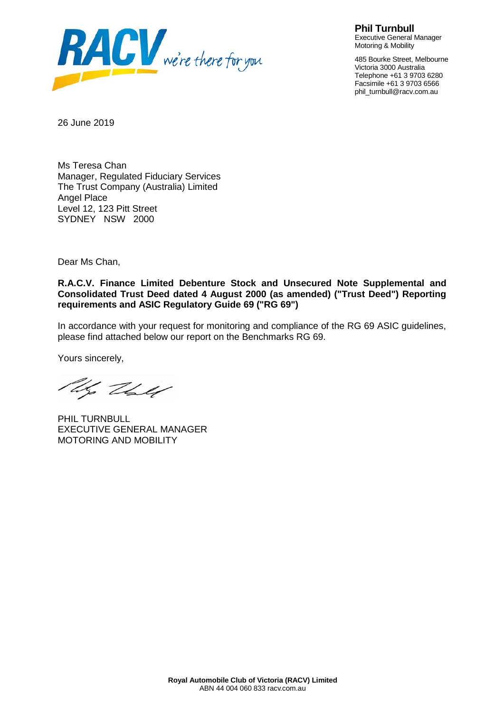

**Phil Turnbull** Executive General Manager Motoring & Mobility

485 Bourke Street, Melbourne Victoria 3000 Australia Telephone +61 3 9703 6280 Facsimile +61 3 9703 6566 phil\_turnbull@racv.com.au

26 June 2019

Ms Teresa Chan Manager, Regulated Fiduciary Services The Trust Company (Australia) Limited Angel Place Level 12, 123 Pitt Street SYDNEY NSW 2000

Dear Ms Chan,

**R.A.C.V. Finance Limited Debenture Stock and Unsecured Note Supplemental and Consolidated Trust Deed dated 4 August 2000 (as amended) ("Trust Deed") Reporting requirements and ASIC Regulatory Guide 69 ("RG 69")**

In accordance with your request for monitoring and compliance of the RG 69 ASIC guidelines, please find attached below our report on the Benchmarks RG 69.

Yours sincerely,

Uz Vall

PHIL TURNBULL EXECUTIVE GENERAL MANAGER MOTORING AND MOBILITY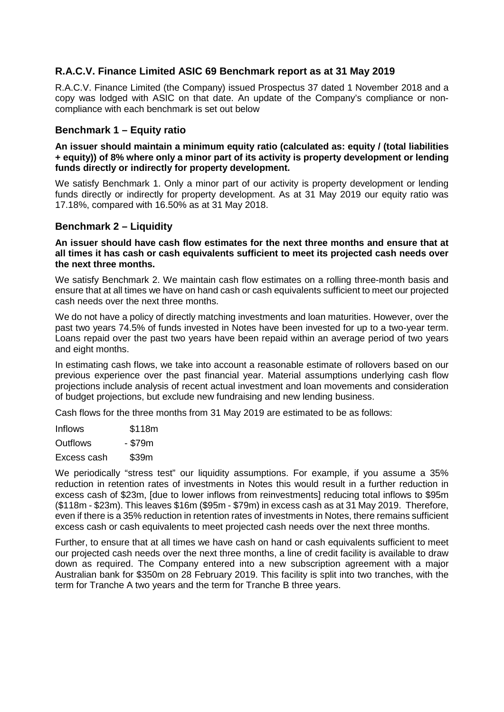# **R.A.C.V. Finance Limited ASIC 69 Benchmark report as at 31 May 2019**

R.A.C.V. Finance Limited (the Company) issued Prospectus 37 dated 1 November 2018 and a copy was lodged with ASIC on that date. An update of the Company's compliance or noncompliance with each benchmark is set out below

# **Benchmark 1 – Equity ratio**

**An issuer should maintain a minimum equity ratio (calculated as: equity / (total liabilities + equity)) of 8% where only a minor part of its activity is property development or lending funds directly or indirectly for property development.**

We satisfy Benchmark 1. Only a minor part of our activity is property development or lending funds directly or indirectly for property development. As at 31 May 2019 our equity ratio was 17.18%, compared with 16.50% as at 31 May 2018.

## **Benchmark 2 – Liquidity**

**An issuer should have cash flow estimates for the next three months and ensure that at all times it has cash or cash equivalents sufficient to meet its projected cash needs over the next three months.** 

We satisfy Benchmark 2. We maintain cash flow estimates on a rolling three-month basis and ensure that at all times we have on hand cash or cash equivalents sufficient to meet our projected cash needs over the next three months.

We do not have a policy of directly matching investments and loan maturities. However, over the past two years 74.5% of funds invested in Notes have been invested for up to a two-year term. Loans repaid over the past two years have been repaid within an average period of two years and eight months.

In estimating cash flows, we take into account a reasonable estimate of rollovers based on our previous experience over the past financial year. Material assumptions underlying cash flow projections include analysis of recent actual investment and loan movements and consideration of budget projections, but exclude new fundraising and new lending business.

Cash flows for the three months from 31 May 2019 are estimated to be as follows:

| Inflows  | \$118m  |  |  |
|----------|---------|--|--|
| Outflows | - \$79m |  |  |

Excess cash \$39m

We periodically "stress test" our liquidity assumptions. For example, if you assume a 35% reduction in retention rates of investments in Notes this would result in a further reduction in excess cash of \$23m, [due to lower inflows from reinvestments] reducing total inflows to \$95m (\$118m - \$23m). This leaves \$16m (\$95m - \$79m) in excess cash as at 31 May 2019. Therefore, even if there is a 35% reduction in retention rates of investments in Notes, there remains sufficient excess cash or cash equivalents to meet projected cash needs over the next three months.

Further, to ensure that at all times we have cash on hand or cash equivalents sufficient to meet our projected cash needs over the next three months, a line of credit facility is available to draw down as required. The Company entered into a new subscription agreement with a major Australian bank for \$350m on 28 February 2019. This facility is split into two tranches, with the term for Tranche A two years and the term for Tranche B three years.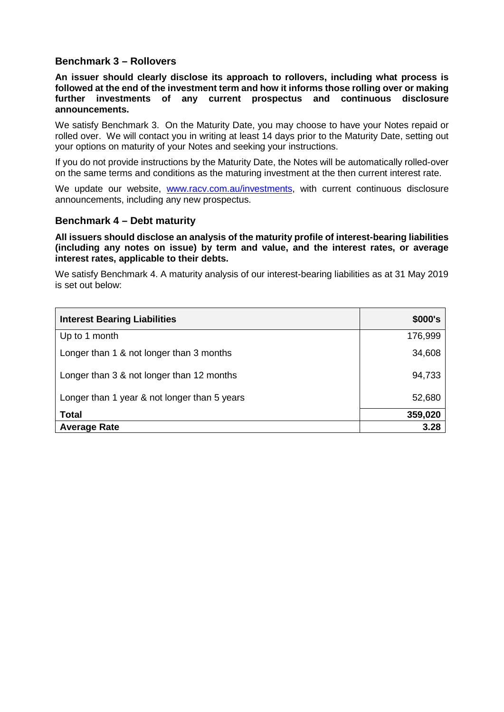# **Benchmark 3 – Rollovers**

**An issuer should clearly disclose its approach to rollovers, including what process is followed at the end of the investment term and how it informs those rolling over or making further investments of any current prospectus and continuous disclosure announcements.**

We satisfy Benchmark 3. On the Maturity Date, you may choose to have your Notes repaid or rolled over. We will contact you in writing at least 14 days prior to the Maturity Date, setting out your options on maturity of your Notes and seeking your instructions.

If you do not provide instructions by the Maturity Date, the Notes will be automatically rolled-over on the same terms and conditions as the maturing investment at the then current interest rate.

We update our website, [www.racv.com.au/investments,](http://www.racv.com.au/investments) with current continuous disclosure announcements, including any new prospectus.

### **Benchmark 4 – Debt maturity**

**All issuers should disclose an analysis of the maturity profile of interest-bearing liabilities (including any notes on issue) by term and value, and the interest rates, or average interest rates, applicable to their debts.** 

We satisfy Benchmark 4. A maturity analysis of our interest-bearing liabilities as at 31 May 2019 is set out below:

| <b>Interest Bearing Liabilities</b>          | \$000's |
|----------------------------------------------|---------|
| Up to 1 month                                | 176,999 |
| Longer than 1 & not longer than 3 months     | 34,608  |
| Longer than 3 & not longer than 12 months    | 94,733  |
| Longer than 1 year & not longer than 5 years | 52,680  |
| <b>Total</b>                                 | 359,020 |
| <b>Average Rate</b>                          | 3.28    |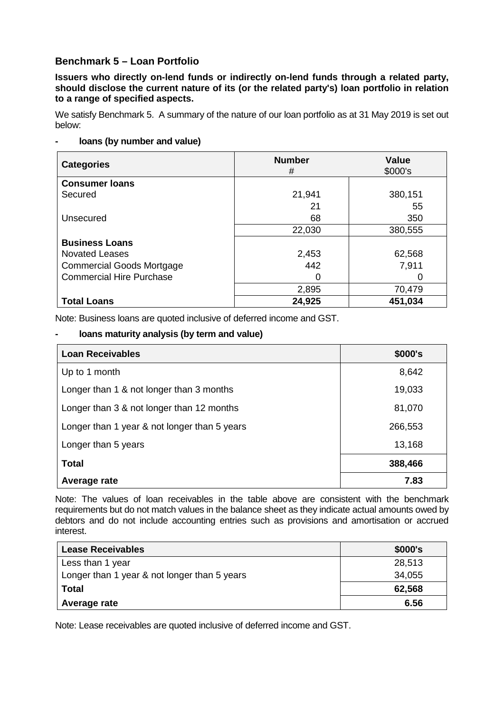# **Benchmark 5 – Loan Portfolio**

**Issuers who directly on-lend funds or indirectly on-lend funds through a related party, should disclose the current nature of its (or the related party's) loan portfolio in relation to a range of specified aspects.**

We satisfy Benchmark 5. A summary of the nature of our loan portfolio as at 31 May 2019 is set out below:

# **- loans (by number and value)**

| <b>Categories</b>                | <b>Number</b><br># | <b>Value</b><br>\$000's |
|----------------------------------|--------------------|-------------------------|
| <b>Consumer loans</b>            |                    |                         |
| Secured                          | 21,941             | 380,151                 |
|                                  | 21                 | 55                      |
| Unsecured                        | 68                 | 350                     |
|                                  | 22,030             | 380,555                 |
| <b>Business Loans</b>            |                    |                         |
| <b>Novated Leases</b>            | 2,453              | 62,568                  |
| <b>Commercial Goods Mortgage</b> | 442                | 7,911                   |
| <b>Commercial Hire Purchase</b>  | 0                  | 0                       |
|                                  | 2,895              | 70,479                  |
| <b>Total Loans</b>               | 24,925             | 451,034                 |

Note: Business loans are quoted inclusive of deferred income and GST.

# **- loans maturity analysis (by term and value)**

| <b>Loan Receivables</b>                      | \$000's |
|----------------------------------------------|---------|
| Up to 1 month                                | 8,642   |
| Longer than 1 & not longer than 3 months     | 19,033  |
| Longer than 3 & not longer than 12 months    | 81,070  |
| Longer than 1 year & not longer than 5 years | 266,553 |
| Longer than 5 years                          | 13,168  |
| <b>Total</b>                                 | 388,466 |
| Average rate                                 | 7.83    |

Note: The values of loan receivables in the table above are consistent with the benchmark requirements but do not match values in the balance sheet as they indicate actual amounts owed by debtors and do not include accounting entries such as provisions and amortisation or accrued interest.

| <b>Lease Receivables</b>                     | \$000's |
|----------------------------------------------|---------|
| Less than 1 year                             | 28,513  |
| Longer than 1 year & not longer than 5 years | 34,055  |
| <b>Total</b>                                 | 62,568  |
| Average rate                                 | 6.56    |

Note: Lease receivables are quoted inclusive of deferred income and GST.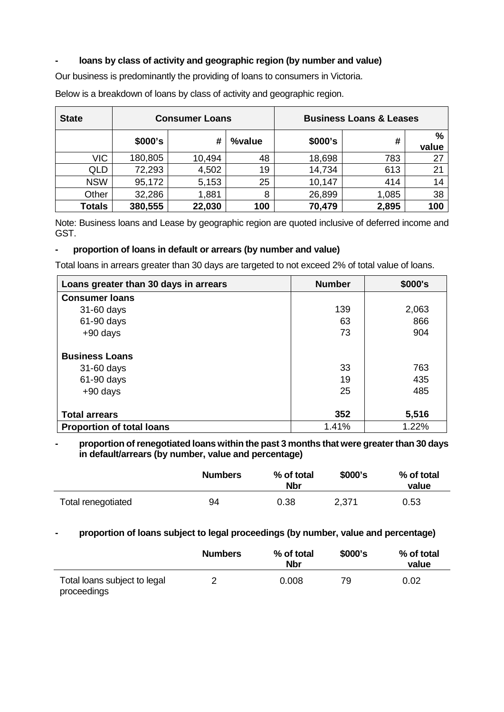# **- loans by class of activity and geographic region (by number and value)**

Our business is predominantly the providing of loans to consumers in Victoria.

**State Consumer Loans Business Loans & Leases \$000's # %value \$000's # % value** VIC | 180,805 | 10,494 | 48 | 18,698 | 783 | 27 QLD | 72,293 | 4,502 | 19 | 14,734 | 613 | 21 NSW | 95,172 | 5,153 | 25 | 10,147 | 414 | 14 Other | 32,286 | 1,881 | 8 | 26,899 | 1,085 | 38 **Totals 380,555 22,030 100 70,479 2,895 100** 

Below is a breakdown of loans by class of activity and geographic region.

Note: Business loans and Lease by geographic region are quoted inclusive of deferred income and GST.

### **- proportion of loans in default or arrears (by number and value)**

Total loans in arrears greater than 30 days are targeted to not exceed 2% of total value of loans.

| Loans greater than 30 days in arrears | <b>Number</b> | \$000's |
|---------------------------------------|---------------|---------|
| <b>Consumer loans</b>                 |               |         |
| 31-60 days                            | 139           | 2,063   |
| 61-90 days                            | 63            | 866     |
| $+90$ days                            | 73            | 904     |
| <b>Business Loans</b>                 |               |         |
| 31-60 days                            | 33            | 763     |
| 61-90 days                            | 19            | 435     |
| $+90$ days                            | 25            | 485     |
| <b>Total arrears</b>                  | 352           | 5,516   |
| <b>Proportion of total loans</b>      | 1.41%         | 1.22%   |

**- proportion of renegotiated loans within the past 3 months that were greater than 30 days in default/arrears (by number, value and percentage)**

|                    | <b>Numbers</b> | % of total<br><b>Nbr</b> | \$000's | % of total<br>value |
|--------------------|----------------|--------------------------|---------|---------------------|
| Total renegotiated | 94             | 0.38                     | 2,371   | 0.53                |

## **- proportion of loans subject to legal proceedings (by number, value and percentage)**

|                                             | <b>Numbers</b> | % of total<br><b>Nbr</b> | \$000's | % of total<br>value |
|---------------------------------------------|----------------|--------------------------|---------|---------------------|
| Total loans subject to legal<br>proceedings |                | 0.008                    | 79      | 0.02                |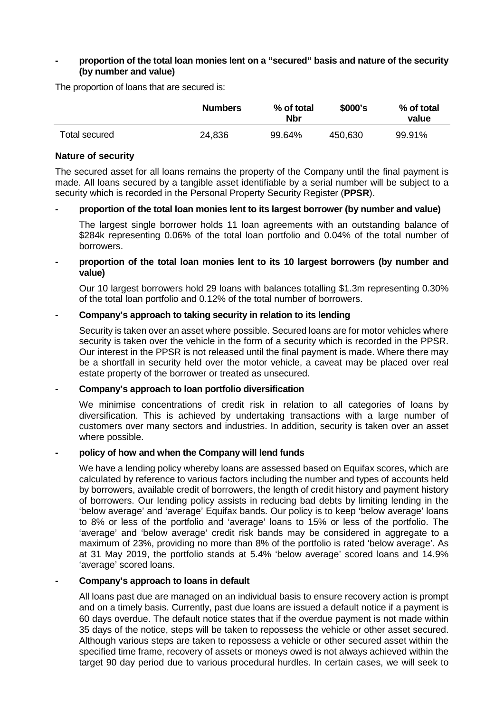### **- proportion of the total loan monies lent on a "secured" basis and nature of the security (by number and value)**

The proportion of loans that are secured is:

|               | <b>Numbers</b> | % of total<br><b>Nbr</b> | \$000's | % of total<br>value |
|---------------|----------------|--------------------------|---------|---------------------|
| Total secured | 24,836         | 99.64%                   | 450,630 | 99.91%              |

#### **Nature of security**

The secured asset for all loans remains the property of the Company until the final payment is made. All loans secured by a tangible asset identifiable by a serial number will be subject to a security which is recorded in the Personal Property Security Register (**PPSR**).

#### **- proportion of the total loan monies lent to its largest borrower (by number and value)**

The largest single borrower holds 11 loan agreements with an outstanding balance of \$284k representing 0.06% of the total loan portfolio and 0.04% of the total number of borrowers.

### **- proportion of the total loan monies lent to its 10 largest borrowers (by number and value)**

Our 10 largest borrowers hold 29 loans with balances totalling \$1.3m representing 0.30% of the total loan portfolio and 0.12% of the total number of borrowers.

### **- Company's approach to taking security in relation to its lending**

Security is taken over an asset where possible. Secured loans are for motor vehicles where security is taken over the vehicle in the form of a security which is recorded in the PPSR. Our interest in the PPSR is not released until the final payment is made. Where there may be a shortfall in security held over the motor vehicle, a caveat may be placed over real estate property of the borrower or treated as unsecured.

#### **- Company's approach to loan portfolio diversification**

We minimise concentrations of credit risk in relation to all categories of loans by diversification. This is achieved by undertaking transactions with a large number of customers over many sectors and industries. In addition, security is taken over an asset where possible.

#### **- policy of how and when the Company will lend funds**

We have a lending policy whereby loans are assessed based on Equifax scores, which are calculated by reference to various factors including the number and types of accounts held by borrowers, available credit of borrowers, the length of credit history and payment history of borrowers. Our lending policy assists in reducing bad debts by limiting lending in the 'below average' and 'average' Equifax bands. Our policy is to keep 'below average' loans to 8% or less of the portfolio and 'average' loans to 15% or less of the portfolio. The 'average' and 'below average' credit risk bands may be considered in aggregate to a maximum of 23%, providing no more than 8% of the portfolio is rated 'below average'. As at 31 May 2019, the portfolio stands at 5.4% 'below average' scored loans and 14.9% 'average' scored loans.

### **- Company's approach to loans in default**

All loans past due are managed on an individual basis to ensure recovery action is prompt and on a timely basis. Currently, past due loans are issued a default notice if a payment is 60 days overdue. The default notice states that if the overdue payment is not made within 35 days of the notice, steps will be taken to repossess the vehicle or other asset secured. Although various steps are taken to repossess a vehicle or other secured asset within the specified time frame, recovery of assets or moneys owed is not always achieved within the target 90 day period due to various procedural hurdles. In certain cases, we will seek to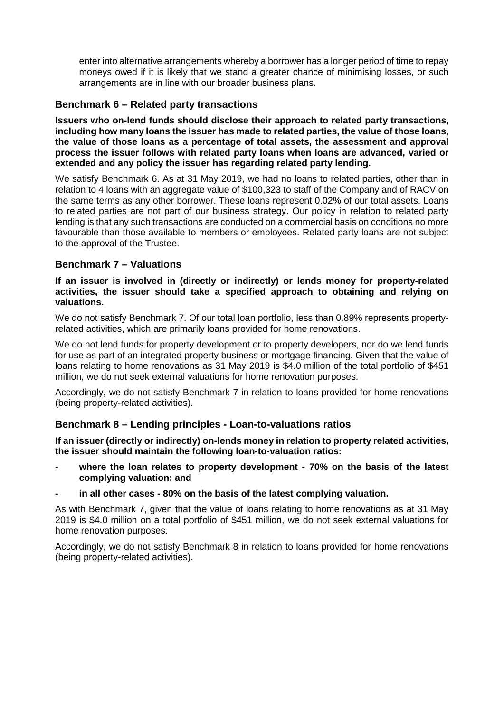enter into alternative arrangements whereby a borrower has a longer period of time to repay moneys owed if it is likely that we stand a greater chance of minimising losses, or such arrangements are in line with our broader business plans.

# **Benchmark 6 – Related party transactions**

**Issuers who on-lend funds should disclose their approach to related party transactions, including how many loans the issuer has made to related parties, the value of those loans, the value of those loans as a percentage of total assets, the assessment and approval process the issuer follows with related party loans when loans are advanced, varied or extended and any policy the issuer has regarding related party lending.** 

We satisfy Benchmark 6. As at 31 May 2019, we had no loans to related parties, other than in relation to 4 loans with an aggregate value of \$100,323 to staff of the Company and of RACV on the same terms as any other borrower. These loans represent 0.02% of our total assets. Loans to related parties are not part of our business strategy. Our policy in relation to related party lending is that any such transactions are conducted on a commercial basis on conditions no more favourable than those available to members or employees. Related party loans are not subject to the approval of the Trustee.

# **Benchmark 7 – Valuations**

### **If an issuer is involved in (directly or indirectly) or lends money for property-related activities, the issuer should take a specified approach to obtaining and relying on valuations.**

We do not satisfy Benchmark 7. Of our total loan portfolio, less than 0.89% represents propertyrelated activities, which are primarily loans provided for home renovations.

We do not lend funds for property development or to property developers, nor do we lend funds for use as part of an integrated property business or mortgage financing. Given that the value of loans relating to home renovations as 31 May 2019 is \$4.0 million of the total portfolio of \$451 million, we do not seek external valuations for home renovation purposes.

Accordingly, we do not satisfy Benchmark 7 in relation to loans provided for home renovations (being property-related activities).

# **Benchmark 8 – Lending principles - Loan-to-valuations ratios**

**If an issuer (directly or indirectly) on-lends money in relation to property related activities, the issuer should maintain the following loan-to-valuation ratios:**

- **- where the loan relates to property development - 70% on the basis of the latest complying valuation; and**
- **- in all other cases - 80% on the basis of the latest complying valuation.**

As with Benchmark 7, given that the value of loans relating to home renovations as at 31 May 2019 is \$4.0 million on a total portfolio of \$451 million, we do not seek external valuations for home renovation purposes.

Accordingly, we do not satisfy Benchmark 8 in relation to loans provided for home renovations (being property-related activities).